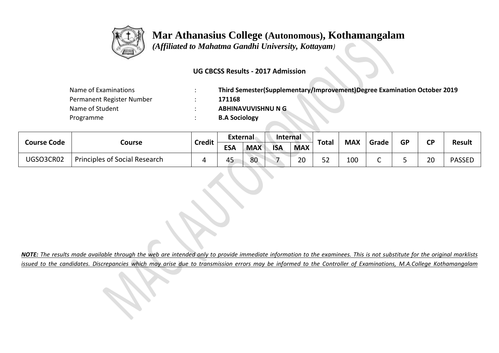

 *(Affiliated to Mahatma Gandhi University, Kottayam)*

### **UG CBCSS Results - 2017 Admission**

| Name of Examinations      | Third Semester(Supplementary/Improvement)Degree Examination October 2019 |
|---------------------------|--------------------------------------------------------------------------|
| Permanent Register Number | 171168                                                                   |
| Name of Student           | ABHINAVUVISHNU N G                                                       |
| Programme                 | <b>B.A Sociology</b>                                                     |

| <b>Course Code</b> |                                      | <b>Credit</b> | External   |            | <b>Internal</b> |            | Total          | <b>MAX</b> | Grade | <b>GP</b> | CD | <b>Result</b> |
|--------------------|--------------------------------------|---------------|------------|------------|-----------------|------------|----------------|------------|-------|-----------|----|---------------|
|                    | Course                               |               | <b>ESA</b> | <b>MAX</b> | <b>ISA</b>      | <b>MAX</b> |                |            |       |           |    |               |
| UGSO3CR02          | <b>Principles of Social Research</b> |               | 45         | 80         |                 | 20         | $ \sim$<br>ے ت | 100        |       |           | 20 | <b>PASSED</b> |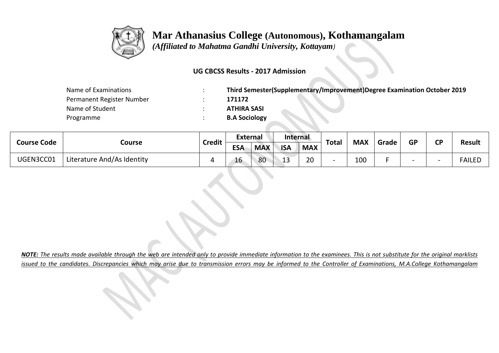

 *(Affiliated to Mahatma Gandhi University, Kottayam)*

### **UG CBCSS Results - 2017 Admission**

| Name of Examinations      | Third Semester(Supplementary/Improvement)Degree Examination October 2019 |
|---------------------------|--------------------------------------------------------------------------|
| Permanent Register Number | 171172                                                                   |
| Name of Student           | <b>ATHIRA SASI</b>                                                       |
| Programme                 | <b>B.A Sociology</b>                                                     |

| <b>Course Code</b> |                            | <b>Credit</b> | <b>External</b> |            | Internal                  |            | <b>Total</b> | <b>MAX</b> | Grade | GP | ΓD | <b>Result</b> |
|--------------------|----------------------------|---------------|-----------------|------------|---------------------------|------------|--------------|------------|-------|----|----|---------------|
|                    | Course                     |               | <b>ESA</b>      | <b>MAX</b> | <b>ISA</b>                | <b>MAX</b> |              |            |       |    |    |               |
| UGEN3CC01          | Literature And/As Identity |               | 16              | 80         | $\ddot{\phantom{1}}$<br>ᅩ | 20         |              | 100        |       |    |    | FAILED        |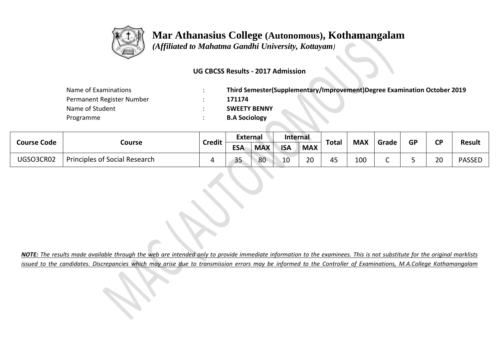

 *(Affiliated to Mahatma Gandhi University, Kottayam)*

### **UG CBCSS Results - 2017 Admission**

| Name of Examinations      | Third Semester(Supplementary/Improvement)Degree Examination October 2019 |
|---------------------------|--------------------------------------------------------------------------|
| Permanent Register Number | 171174                                                                   |
| Name of Student           | <b>SWEETY BENNY</b>                                                      |
| Programme                 | <b>B.A Sociology</b>                                                     |

| <b>Course Code</b> |                                      | <b>Credit</b> | External          |            | Internal   |            | <b>Total</b> | <b>MAX</b> |       | <b>GP</b> | σD                      |               |
|--------------------|--------------------------------------|---------------|-------------------|------------|------------|------------|--------------|------------|-------|-----------|-------------------------|---------------|
|                    | Course                               |               | <b>ESA</b>        | <b>MAX</b> | <b>ISA</b> | <b>MAX</b> |              |            | Grade |           |                         | <b>Result</b> |
| UGSO3CR02          | <b>Principles of Social Research</b> |               | $\sim$ $-$<br>ر ر | 80         | 10         | ാറ<br>∠∪   | 45           | 100        | ∽     |           | $\mathcal{D} \cap$<br>ᇫ | <b>PASSED</b> |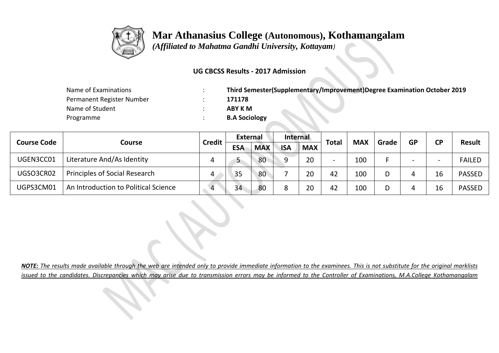

 *(Affiliated to Mahatma Gandhi University, Kottayam)*

### **UG CBCSS Results - 2017 Admission**

| Name of Examinations      | Third Semester(Supplementary/Improvement)Degree Examination October 2019 |
|---------------------------|--------------------------------------------------------------------------|
| Permanent Register Number | 171178                                                                   |
| Name of Student           | ABY K M                                                                  |
| Programme                 | <b>B.A Sociology</b>                                                     |

| <b>Course Code</b> |                                      | <b>Credit</b> | External   |                                        | <b>Internal</b> |               | Total                    | <b>MAX</b> | Grade | <b>GP</b> | <b>CP</b> |               |
|--------------------|--------------------------------------|---------------|------------|----------------------------------------|-----------------|---------------|--------------------------|------------|-------|-----------|-----------|---------------|
|                    | Course                               |               | <b>ESA</b> | <b>MAX</b><br><b>ISA</b><br><b>MAX</b> |                 | <b>Result</b> |                          |            |       |           |           |               |
| UGEN3CC01          | Literature And/As Identity           |               | ◡          | 80                                     | $\Omega$        | 20            | $\overline{\phantom{0}}$ | 100        |       |           |           | <b>FAILED</b> |
| UGSO3CR02          | <b>Principles of Social Research</b> | 4             | 35         | 80                                     |                 | 20            | 42                       | 100        |       |           | 16        | <b>PASSED</b> |
| UGPS3CM01          | An Introduction to Political Science |               | 34         | 80                                     | $\circ$         | 20            | 42                       | 100        |       |           |           | <b>PASSED</b> |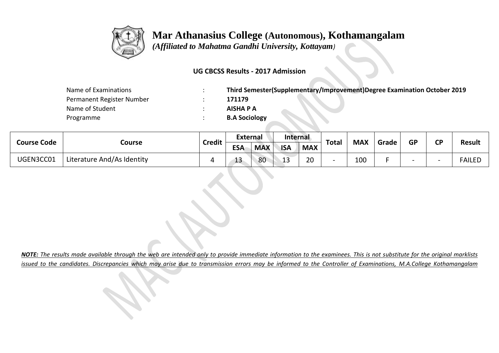

 *(Affiliated to Mahatma Gandhi University, Kottayam)*

### **UG CBCSS Results - 2017 Admission**

| Name of Examinations      | Third Semester(Supplementary/Improvement)Degree Examination October 2019 |
|---------------------------|--------------------------------------------------------------------------|
| Permanent Register Number | 171179                                                                   |
| Name of Student           | AISHA P A                                                                |
| Programme                 | <b>B.A Sociology</b>                                                     |

| <b>Course Code</b> |                            | <b>Credit</b> | External   |            | <b>Internal</b> |            | <b>Total</b> | <b>MAX</b> | Grade | <b>GP</b> | σD | <b>Result</b> |
|--------------------|----------------------------|---------------|------------|------------|-----------------|------------|--------------|------------|-------|-----------|----|---------------|
|                    | Course                     |               | <b>ESA</b> | <b>MAX</b> | <b>ISA</b>      | <b>MAX</b> |              |            |       |           |    |               |
| UGEN3CC01          | Literature And/As Identity |               | IJ         | 80         | າ າ<br>IJ       | 20         |              | 100        |       |           |    | <b>FAILED</b> |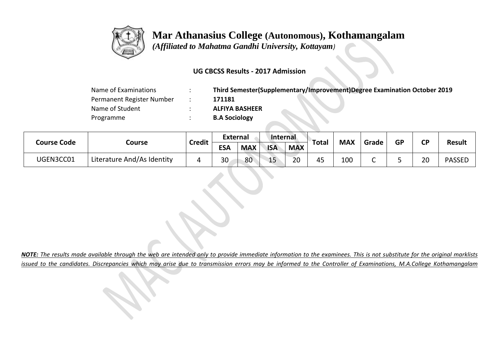

 *(Affiliated to Mahatma Gandhi University, Kottayam)*

### **UG CBCSS Results - 2017 Admission**

| Name of Examinations      | Third Semester(Supplementary/Improvement)Degree Examination October 2019 |
|---------------------------|--------------------------------------------------------------------------|
| Permanent Register Number | 171181                                                                   |
| Name of Student           | <b>ALFIYA BASHEER</b>                                                    |
| Programme                 | <b>B.A Sociology</b>                                                     |

|                    |                            | <b>Credit</b> | <b>External</b> |            | Internal   |            | Total          | <b>MAX</b> | Grade  | <b>GP</b> | <b>CP</b> |               |
|--------------------|----------------------------|---------------|-----------------|------------|------------|------------|----------------|------------|--------|-----------|-----------|---------------|
| <b>Course Code</b> | Course                     |               | <b>ESA</b>      | <b>MAX</b> | <b>ISA</b> | <b>MAX</b> |                |            |        |           |           | <b>Result</b> |
| UGEN3CC01          | Literature And/As Identity |               | 30              | 80         | 15         | 20         | 4 <sup>5</sup> | 100        | -<br>֊ |           | 20        | <b>PASSED</b> |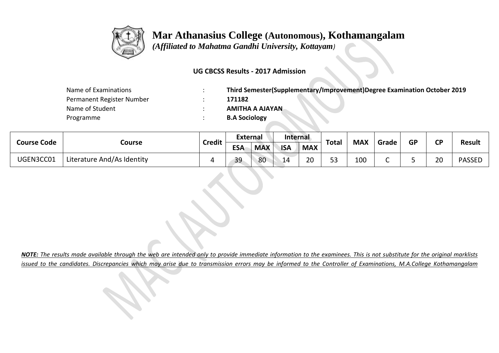

 *(Affiliated to Mahatma Gandhi University, Kottayam)*

### **UG CBCSS Results - 2017 Admission**

| Name of Examinations      | Third Semester(Supplementary/Improvement)Degree Examination October 2019 |
|---------------------------|--------------------------------------------------------------------------|
| Permanent Register Number | 171182                                                                   |
| Name of Student           | <b>AMITHA A AJAYAN</b>                                                   |
| Programme                 | <b>B.A Sociology</b>                                                     |

| <b>Course Code</b> |                            | <b>Credit</b> | External   |            | <b>Internal</b> |            | <b>Total</b>          | <b>MAX</b> | Grade | <b>GP</b> | σD | <b>Result</b> |
|--------------------|----------------------------|---------------|------------|------------|-----------------|------------|-----------------------|------------|-------|-----------|----|---------------|
|                    | Course                     |               | <b>ESA</b> | <b>MAX</b> | <b>ISA</b>      | <b>MAX</b> |                       |            |       |           |    |               |
| UGEN3CC01          | Literature And/As Identity |               | 39         | 80         | $\mathbf{1}$    | ാറ<br>∠∪   | E <sub>2</sub><br>ს ა | 100        |       |           | 20 | <b>PASSED</b> |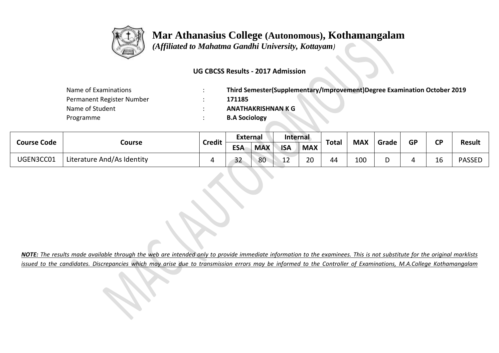

 *(Affiliated to Mahatma Gandhi University, Kottayam)*

### **UG CBCSS Results - 2017 Admission**

| Name of Examinations      | Third Semester(Supplementary/Improvement)Degree Examination October 2019 |
|---------------------------|--------------------------------------------------------------------------|
| Permanent Register Number | 171185                                                                   |
| Name of Student           | <b>ANATHAKRISHNAN K G</b>                                                |
| Programme                 | <b>B.A Sociology</b>                                                     |

| <b>Course Code</b> |                            | <b>Credit</b> | <b>External</b> |            | <b>Internal</b> |            | <b>Total</b> | <b>MAX</b> |       | <b>GP</b> | σD | <b>Result</b> |
|--------------------|----------------------------|---------------|-----------------|------------|-----------------|------------|--------------|------------|-------|-----------|----|---------------|
|                    | Course                     |               | <b>ESA</b>      | <b>MAX</b> | <b>ISA</b>      | <b>MAX</b> |              |            | Grade |           |    |               |
| UGEN3CC01          | Literature And/As Identity |               | ີ<br>32         | 80         | ຳ<br>∸∸         | 20         | 44           | 100        |       |           | ᅩ  | <b>PASSED</b> |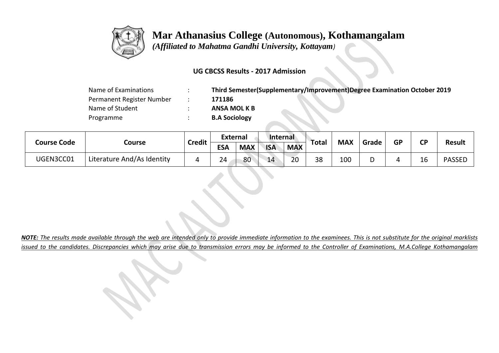

 *(Affiliated to Mahatma Gandhi University, Kottayam)*

### **UG CBCSS Results - 2017 Admission**

| Name of Examinations      | Third Semester(Supplementary/Improvement)Degree Examination October 2019 |
|---------------------------|--------------------------------------------------------------------------|
| Permanent Register Number | 171186                                                                   |
| Name of Student           | <b>ANSA MOL K B</b>                                                      |
| Programme                 | <b>B.A Sociology</b>                                                     |

| <b>Course Code</b> | Course    | <b>Credit</b>              | <b>External</b> |            | <b>Internal</b> |            |              |            |       | <b>GP</b> | <b>CP</b> |               |               |
|--------------------|-----------|----------------------------|-----------------|------------|-----------------|------------|--------------|------------|-------|-----------|-----------|---------------|---------------|
|                    |           |                            | <b>ESA</b>      | <b>MAX</b> | <b>ISA</b>      | <b>MAX</b> | <b>Total</b> | <b>MAX</b> | Grade |           |           | <b>Result</b> |               |
|                    | UGEN3CC01 | Literature And/As Identity |                 | 24         | 80              | 14         | 20           | 38         | 100   |           |           | 16            | <b>PASSED</b> |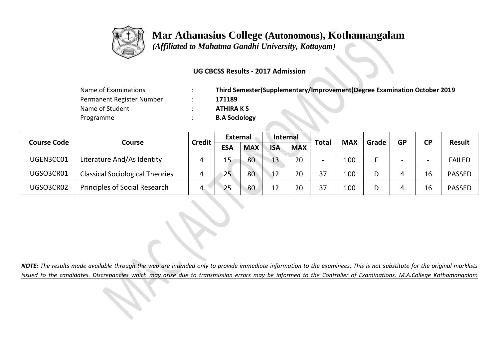

 *(Affiliated to Mahatma Gandhi University, Kottayam)*

### **UG CBCSS Results - 2017 Admission**

| Name of Examinations      | Third Semester(Supplementary/Improvement)Degree Examination October 2019 |
|---------------------------|--------------------------------------------------------------------------|
| Permanent Register Number | 171189                                                                   |
| Name of Student           | <b>ATHIRA K S</b>                                                        |
| Programme                 | <b>B.A Sociology</b>                                                     |

|                    |                                        |               |                 | <b>External</b> |            | Internal   |                          | <b>MAX</b> |       |                          |                          | <b>Result</b> |
|--------------------|----------------------------------------|---------------|-----------------|-----------------|------------|------------|--------------------------|------------|-------|--------------------------|--------------------------|---------------|
| <b>Course Code</b> | Course                                 | <b>Credit</b> | <b>ESA</b>      | <b>MAX</b>      | <b>ISA</b> | <b>MAX</b> | <b>Total</b>             |            | Grade | <b>GP</b>                | <b>CP</b>                |               |
| UGEN3CC01          | Literature And/As Identity             | 4             | 15              | 80              | 13         | 20         | $\overline{\phantom{a}}$ | 100        |       | $\overline{\phantom{0}}$ | $\overline{\phantom{0}}$ | <b>FAILED</b> |
| UGSO3CR01          | <b>Classical Sociological Theories</b> | 4             | 25 <sup>2</sup> | 80              | 12         | 20         | 37                       | 100        | D     | 4                        | 16                       | <b>PASSED</b> |
| UGSO3CR02          | Principles of Social Research          | 4             | 25              | 80              | 12         | 20         | 37                       | 100        | D     | 4                        | 16                       | <b>PASSED</b> |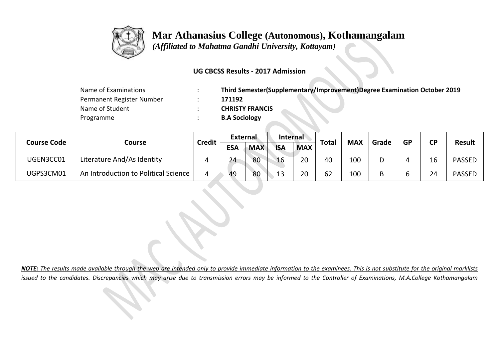

 *(Affiliated to Mahatma Gandhi University, Kottayam)*

### **UG CBCSS Results - 2017 Admission**

| Name of Examinations      | Third Semester(Supplementary/Improvement)Degree Examination October 2019 |
|---------------------------|--------------------------------------------------------------------------|
| Permanent Register Number | 171192                                                                   |
| Name of Student           | <b>CHRISTY FRANCIS</b>                                                   |
| Programme                 | <b>B.A Sociology</b>                                                     |

|                    |                                      | <b>Credit</b> | <b>External</b> |            | Internal   |            |              | <b>MAX</b> |       | <b>GP</b> | <b>CD</b> | <b>Result</b> |
|--------------------|--------------------------------------|---------------|-----------------|------------|------------|------------|--------------|------------|-------|-----------|-----------|---------------|
| <b>Course Code</b> | Course                               |               | <b>ESA</b>      | <b>MAX</b> | <b>ISA</b> | <b>MAX</b> | <b>Total</b> |            | Grade |           |           |               |
| UGEN3CC01          | Literature And/As Identity           | 4             | 24              | 80         | 16         | 20         | 40           | 100        | D     |           | 16        | <b>PASSED</b> |
| UGPS3CM01          | An Introduction to Political Science |               | 49              | 80         | 13         | 20         | 62           | 100        | B     |           | 24        | <b>PASSED</b> |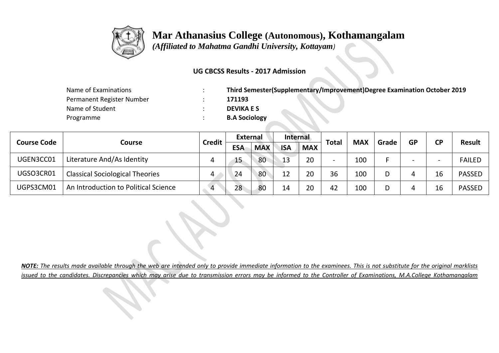

 *(Affiliated to Mahatma Gandhi University, Kottayam)*

### **UG CBCSS Results - 2017 Admission**

| Name of Examinations      | Third Semester(Supplementary/Improvement)Degree Examination October 2019 |
|---------------------------|--------------------------------------------------------------------------|
| Permanent Register Number | 171193                                                                   |
| Name of Student           | <b>DEVIKA E S</b>                                                        |
| Programme                 | <b>B.A Sociology</b>                                                     |

|                    |                                        | <b>Credit</b> | <b>External</b> |            | Internal   |            |                          | <b>MAX</b> | Grade | <b>GP</b> | <b>CD</b> | <b>Result</b> |  |
|--------------------|----------------------------------------|---------------|-----------------|------------|------------|------------|--------------------------|------------|-------|-----------|-----------|---------------|--|
| <b>Course Code</b> | Course                                 |               | <b>ESA</b>      | <b>MAX</b> | <b>ISA</b> | <b>MAX</b> | <b>Total</b>             |            |       |           |           |               |  |
| UGEN3CC01          | Literature And/As Identity             | 4             | 15              | 80         | 13         | 20         | $\overline{\phantom{0}}$ | 100        |       |           |           | <b>FAILED</b> |  |
| UGSO3CR01          | <b>Classical Sociological Theories</b> | 4             | 24              | 80         |            | 20         | 36                       | 100        |       |           | 16        | <b>PASSED</b> |  |
| UGPS3CM01          | An Introduction to Political Science   |               | 28              | 80         | 14         | 20         | 42                       | 100        |       |           | Ίp        | <b>PASSED</b> |  |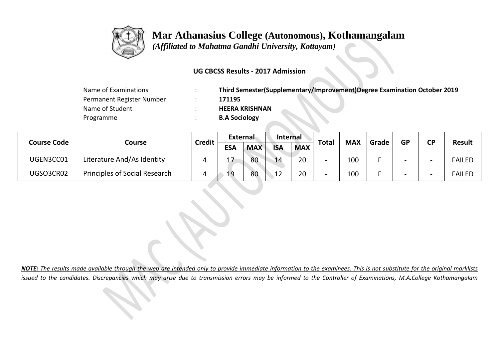

 *(Affiliated to Mahatma Gandhi University, Kottayam)*

### **UG CBCSS Results - 2017 Admission**

| Name of Examinations      | Third Semester(Supplementary/Improvement)Degree Examination October 2019 |
|---------------------------|--------------------------------------------------------------------------|
| Permanent Register Number | 171195                                                                   |
| Name of Student           | <b>HEERA KRISHNAN</b>                                                    |
| Programme                 | <b>B.A Sociology</b>                                                     |

|                    |                                      | <b>Credit</b> |            | External   |            | <b>Internal</b> |              |            |       | <b>GP</b>                | <b>CP</b> |               |
|--------------------|--------------------------------------|---------------|------------|------------|------------|-----------------|--------------|------------|-------|--------------------------|-----------|---------------|
| <b>Course Code</b> | Course                               |               | <b>ESA</b> | <b>MAX</b> | <b>ISA</b> | <b>MAX</b>      | <b>Total</b> | <b>MAX</b> | Grade |                          |           | <b>Result</b> |
| UGEN3CC01          | Literature And/As Identity           |               | 17         | 80         | 14         | 20              |              | 100        |       | -                        | -         | <b>FAILED</b> |
| UGSO3CR02          | <b>Principles of Social Research</b> |               | 19         | 80         | 12         | 20              |              | 100        |       | $\overline{\phantom{0}}$ | -         | <b>FAILED</b> |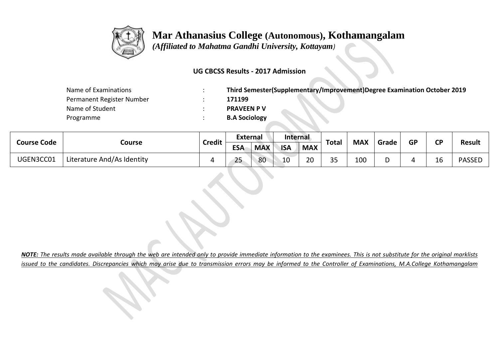

 *(Affiliated to Mahatma Gandhi University, Kottayam)*

### **UG CBCSS Results - 2017 Admission**

| Name of Examinations      | Third Semester(Supplementary/Improvement)Degree Examination October 2019 |
|---------------------------|--------------------------------------------------------------------------|
| Permanent Register Number | 171199                                                                   |
| Name of Student           | <b>PRAVEEN P V</b>                                                       |
| Programme                 | <b>B.A Sociology</b>                                                     |

| <b>Course Code</b> |                            | External<br><b>Credit</b><br><b>ESA</b> | Internal         |            |            | <b>Total</b> | <b>MAX</b> | Grade | <b>GP</b> | σD | <b>Result</b>       |               |
|--------------------|----------------------------|-----------------------------------------|------------------|------------|------------|--------------|------------|-------|-----------|----|---------------------|---------------|
|                    | Course                     |                                         |                  | <b>MAX</b> | <b>ISA</b> | <b>MAX</b>   |            |       |           |    |                     |               |
| UGEN3CC01          | Literature And/As Identity |                                         | $\sim$ $-$<br>25 | 80         | 10         | າ∩<br>∠∪     | スロ<br>ر ر  | 100   |           |    | $\overline{ }$<br>ᅩ | <b>PASSED</b> |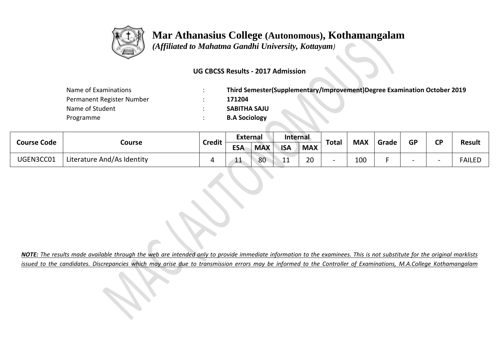

 *(Affiliated to Mahatma Gandhi University, Kottayam)*

### **UG CBCSS Results - 2017 Admission**

| Name of Examinations      | Third Semester(Supplementary/Improvement)Degree Examination October 2019 |
|---------------------------|--------------------------------------------------------------------------|
| Permanent Register Number | 171204                                                                   |
| Name of Student           | <b>SABITHA SAJU</b>                                                      |
| Programme                 | <b>B.A Sociology</b>                                                     |

| <b>Course Code</b> |                            | <b>Credit</b> | <b>External</b> |            | Internal   |    | <b>MAX</b><br><b>Total</b><br>Grade<br><b>MAX</b> | GP  | ΓD |  |  |               |
|--------------------|----------------------------|---------------|-----------------|------------|------------|----|---------------------------------------------------|-----|----|--|--|---------------|
|                    | Course                     |               | <b>ESA</b>      | <b>MAX</b> | <b>ISA</b> |    |                                                   |     |    |  |  | <b>Result</b> |
| UGEN3CC01          | Literature And/As Identity |               | ᆠᅶ              | 80         | -4         | 20 |                                                   | 100 |    |  |  | FAILED        |